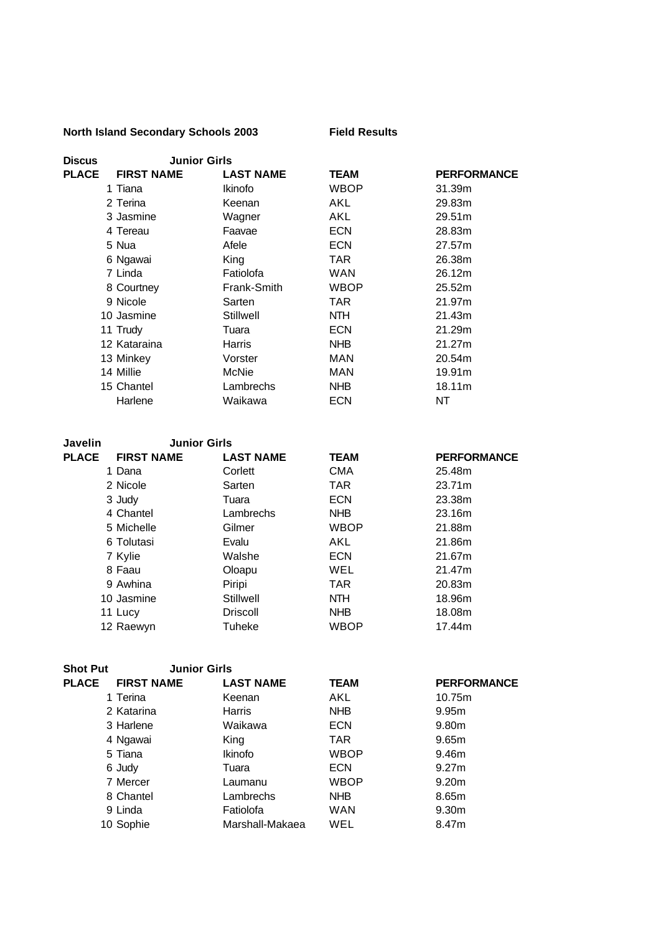## **North Island Secondary Schools 2003 Field Results**

| <b>Discus</b> | <b>Junior Girls</b> |                  |             |                    |
|---------------|---------------------|------------------|-------------|--------------------|
| <b>PLACE</b>  | <b>FIRST NAME</b>   | <b>LAST NAME</b> | <b>TEAM</b> | <b>PERFORMANCE</b> |
|               | 1 Tiana             | Ikinofo          | <b>WBOP</b> | 31.39m             |
|               | 2 Terina            | Keenan           | AKL         | 29.83m             |
|               | 3 Jasmine           | Wagner           | AKL         | 29.51m             |
|               | 4 Tereau            | Faavae           | <b>ECN</b>  | 28.83m             |
|               | 5 Nua               | Afele            | <b>ECN</b>  | 27.57m             |
|               | 6 Ngawai            | King             | TAR         | 26.38m             |
|               | 7 Linda             | Fatiolofa        | <b>WAN</b>  | 26.12m             |
|               | 8 Courtney          | Frank-Smith      | <b>WBOP</b> | 25.52m             |
|               | 9 Nicole            | Sarten           | TAR         | 21.97m             |
|               | 10 Jasmine          | Stillwell        | <b>NTH</b>  | 21.43m             |
|               | 11 Trudy            | Tuara            | <b>ECN</b>  | 21.29m             |
|               | 12 Kataraina        | Harris           | <b>NHB</b>  | 21.27m             |
|               | 13 Minkey           | Vorster          | MAN         | 20.54m             |
|               | 14 Millie           | McNie            | MAN         | 19.91m             |
|               | 15 Chantel          | Lambrechs        | <b>NHB</b>  | 18.11m             |
|               | Harlene             | Waikawa          | <b>ECN</b>  | NT                 |

| Javelin      | <b>Junior Girls</b> |                  |             |                    |
|--------------|---------------------|------------------|-------------|--------------------|
| <b>PLACE</b> | <b>FIRST NAME</b>   | <b>LAST NAME</b> | <b>TEAM</b> | <b>PERFORMANCE</b> |
|              | 1 Dana              | Corlett          | <b>CMA</b>  | 25.48m             |
|              | 2 Nicole            | Sarten           | TAR.        | 23.71m             |
|              | 3 Judy              | Tuara            | <b>ECN</b>  | 23.38m             |
|              | 4 Chantel           | Lambrechs        | <b>NHB</b>  | 23.16m             |
|              | 5 Michelle          | Gilmer           | <b>WBOP</b> | 21.88m             |
|              | 6 Tolutasi          | Evalu            | AKL         | 21.86m             |
|              | 7 Kylie             | Walshe           | <b>ECN</b>  | 21.67m             |
|              | 8 Faau              | Oloapu           | WEL         | 21.47m             |
|              | 9 Awhina            | Piripi           | TAR.        | 20.83m             |
|              | 10 Jasmine          | Stillwell        | <b>NTH</b>  | 18.96m             |
|              | 11 Lucy             | <b>Driscoll</b>  | <b>NHB</b>  | 18.08m             |
|              | 12 Raewyn           | Tuheke           | WBOP        | 17.44m             |

| <b>Shot Put</b> | <b>Junior Girls</b> |                  |             |                    |
|-----------------|---------------------|------------------|-------------|--------------------|
| <b>PLACE</b>    | <b>FIRST NAME</b>   | <b>LAST NAME</b> | <b>TEAM</b> | <b>PERFORMANCE</b> |
|                 | 1 Terina            | Keenan           | AKL         | 10.75m             |
|                 | 2 Katarina          | Harris           | <b>NHB</b>  | 9.95 <sub>m</sub>  |
|                 | 3 Harlene           | Waikawa          | <b>ECN</b>  | 9.80m              |
|                 | 4 Ngawai            | King             | TAR.        | 9.65m              |
|                 | 5 Tiana             | <b>Ikinofo</b>   | <b>WBOP</b> | 9.46m              |
|                 | 6 Judy              | Tuara            | <b>ECN</b>  | 9.27m              |
|                 | 7 Mercer            | Laumanu          | <b>WBOP</b> | 9.20 <sub>m</sub>  |
|                 | 8 Chantel           | Lambrechs        | <b>NHB</b>  | 8.65m              |
|                 | 9 Linda             | Fatiolofa        | <b>WAN</b>  | 9.30 <sub>m</sub>  |
|                 | 10 Sophie           | Marshall-Makaea  | WEL         | 8.47m              |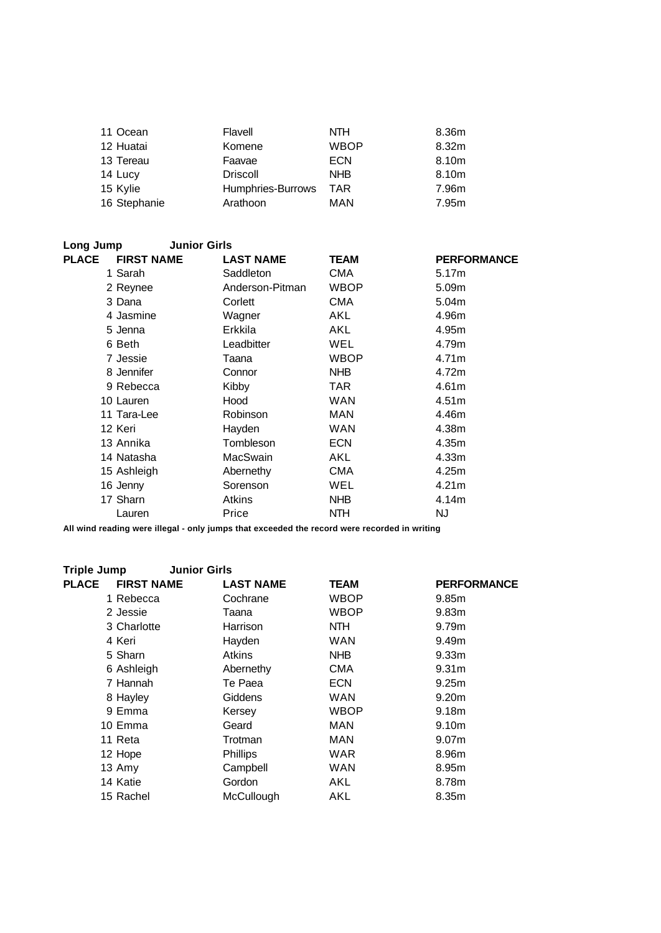| 11 Ocean     | Flavell           | <b>NTH</b>  | 8.36m |
|--------------|-------------------|-------------|-------|
| 12 Huatai    | Komene            | <b>WBOP</b> | 8.32m |
| 13 Tereau    | Faavae            | <b>ECN</b>  | 8.10m |
| 14 Lucy      | <b>Driscoll</b>   | <b>NHB</b>  | 8.10m |
| 15 Kylie     | Humphries-Burrows | <b>TAR</b>  | 7.96m |
| 16 Stephanie | Arathoon          | MAN         | 7.95m |

| Long Jump                         | <b>Junior Girls</b> |                                 |             |                    |
|-----------------------------------|---------------------|---------------------------------|-------------|--------------------|
| <b>PLACE</b><br><b>FIRST NAME</b> |                     | <b>LAST NAME</b><br><b>TEAM</b> |             | <b>PERFORMANCE</b> |
| 1 Sarah                           | Saddleton           | CMA                             |             | 5.17m              |
| 2 Reynee                          |                     | Anderson-Pitman                 | <b>WBOP</b> | 5.09m              |
| 3 Dana                            | Corlett             | <b>CMA</b>                      |             | 5.04m              |
| 4 Jasmine                         | Wagner              | AKL                             |             | 4.96m              |
| 5 Jenna                           | Erkkila             | AKL                             |             | 4.95m              |
| 6 Beth                            | Leadbitter          | WEL                             |             | 4.79m              |
| 7 Jessie                          | Taana               |                                 | <b>WBOP</b> | 4.71m              |
| 8 Jennifer                        | Connor              | <b>NHB</b>                      |             | 4.72m              |
| 9 Rebecca                         | Kibby               | TAR.                            |             | 4.61m              |
| 10 Lauren                         | Hood                | <b>WAN</b>                      |             | 4.51m              |
| 11 Tara-Lee                       | Robinson            | <b>MAN</b>                      |             | 4.46m              |
| 12 Keri                           | Hayden              | <b>WAN</b>                      |             | 4.38m              |
| 13 Annika                         | Tombleson           | <b>ECN</b>                      |             | 4.35m              |
| 14 Natasha                        | MacSwain            | AKL                             |             | 4.33m              |
| 15 Ashleigh                       | Abernethy           | <b>CMA</b>                      |             | 4.25m              |
| 16 Jenny                          | Sorenson            | WEL                             |             | 4.21m              |
| 17 Sharn                          | Atkins              | <b>NHB</b>                      |             | 4.14m              |
| Lauren                            | Price               | <b>NTH</b>                      | NJ.         |                    |

| <b>Triple Jump</b>                | <b>Junior Girls</b> |             |                    |
|-----------------------------------|---------------------|-------------|--------------------|
| <b>PLACE</b><br><b>FIRST NAME</b> | <b>LAST NAME</b>    | <b>TEAM</b> | <b>PERFORMANCE</b> |
| 1 Rebecca                         | Cochrane            | <b>WBOP</b> | 9.85 <sub>m</sub>  |
| 2 Jessie                          | Taana               | <b>WBOP</b> | 9.83 <sub>m</sub>  |
| 3 Charlotte                       | Harrison            | NTH.        | 9.79m              |
| 4 Keri                            | Hayden              | <b>WAN</b>  | 9.49m              |
| 5 Sharn                           | <b>Atkins</b>       | NHB         | 9.33 <sub>m</sub>  |
| 6 Ashleigh                        | Abernethy           | <b>CMA</b>  | 9.31 <sub>m</sub>  |
| 7 Hannah                          | Te Paea             | <b>ECN</b>  | 9.25 <sub>m</sub>  |
| 8 Hayley                          | Giddens             | <b>WAN</b>  | 9.20 <sub>m</sub>  |
| 9 Emma                            | Kersey              | <b>WBOP</b> | 9.18m              |
| 10 Emma                           | Geard               | MAN         | 9.10m              |
| 11 Reta                           | Trotman             | <b>MAN</b>  | 9.07 <sub>m</sub>  |
| 12 Hope                           | <b>Phillips</b>     | WAR         | 8.96m              |
| 13 Amy                            | Campbell            | <b>WAN</b>  | 8.95m              |
| 14 Katie                          | Gordon              | AKL         | 8.78m              |
| 15 Rachel                         | McCullough          | AKL         | 8.35m              |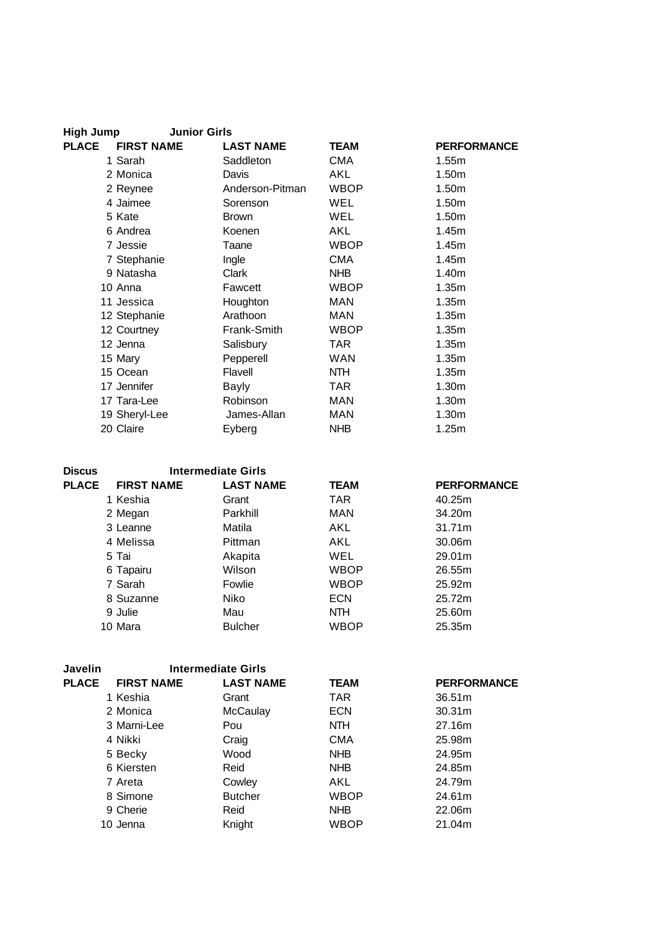| <b>High Jump</b> | <b>Junior Girls</b> |                  |             |                    |
|------------------|---------------------|------------------|-------------|--------------------|
| <b>PLACE</b>     | <b>FIRST NAME</b>   | <b>LAST NAME</b> | <b>TEAM</b> | <b>PERFORMANCE</b> |
|                  | 1 Sarah             | Saddleton        | <b>CMA</b>  | 1.55m              |
|                  | 2 Monica            | Davis            | AKL         | 1.50m              |
|                  | 2 Reynee            | Anderson-Pitman  | <b>WBOP</b> | 1.50m              |
|                  | 4 Jaimee            | Sorenson         | WEL         | 1.50m              |
|                  | 5 Kate              | <b>Brown</b>     | <b>WEL</b>  | 1.50m              |
|                  | 6 Andrea            | Koenen           | AKL         | 1.45m              |
|                  | 7 Jessie            | Taane            | <b>WBOP</b> | 1.45m              |
|                  | 7 Stephanie         | Ingle            | <b>CMA</b>  | 1.45m              |
|                  | 9 Natasha           | Clark            | <b>NHB</b>  | 1.40m              |
|                  | 10 Anna             | Fawcett          | <b>WBOP</b> | 1.35m              |
|                  | 11 Jessica          | Houghton         | <b>MAN</b>  | 1.35m              |
|                  | 12 Stephanie        | Arathoon         | MAN         | 1.35m              |
|                  | 12 Courtney         | Frank-Smith      | <b>WBOP</b> | 1.35m              |
|                  | 12 Jenna            | Salisbury        | TAR         | 1.35m              |
|                  | 15 Mary             | Pepperell        | <b>WAN</b>  | 1.35m              |
|                  | 15 Ocean            | Flavell          | NTH         | 1.35m              |
|                  | 17 Jennifer         | Bayly            | TAR         | 1.30 <sub>m</sub>  |
|                  | 17 Tara-Lee         | Robinson         | <b>MAN</b>  | 1.30 <sub>m</sub>  |
|                  | 19 Sheryl-Lee       | James-Allan      | MAN         | 1.30m              |
|                  | 20 Claire           | Eyberg           | <b>NHB</b>  | 1.25m              |

| <b>Discus</b> |                   | <b>Intermediate Girls</b> |             |                    |
|---------------|-------------------|---------------------------|-------------|--------------------|
| <b>PLACE</b>  | <b>FIRST NAME</b> | <b>LAST NAME</b>          | <b>TEAM</b> | <b>PERFORMANCE</b> |
|               | 1 Keshia          | Grant                     | TAR.        | 40.25m             |
|               | 2 Megan           | Parkhill                  | MAN         | 34.20m             |
|               | 3 Leanne          | Matila                    | AKL         | 31.71m             |
|               | 4 Melissa         | Pittman                   | AKL         | 30.06m             |
|               | 5 Tai             | Akapita                   | WEL         | 29.01m             |
|               | 6 Tapairu         | Wilson                    | <b>WBOP</b> | 26.55m             |
|               | 7 Sarah           | Fowlie                    | <b>WBOP</b> | 25.92m             |
|               | 8 Suzanne         | <b>Niko</b>               | <b>ECN</b>  | 25.72m             |
|               | 9 Julie           | Mau                       | <b>NTH</b>  | 25.60m             |
|               | 10 Mara           | <b>Bulcher</b>            | <b>WBOP</b> | 25.35m             |

| Javelin      |                   | <b>Intermediate Girls</b> |             |                    |
|--------------|-------------------|---------------------------|-------------|--------------------|
| <b>PLACE</b> | <b>FIRST NAME</b> | <b>LAST NAME</b>          | <b>TEAM</b> | <b>PERFORMANCE</b> |
|              | 1 Keshia          | Grant                     | TAR.        | 36.51m             |
|              | 2 Monica          | McCaulay                  | <b>ECN</b>  | 30.31 <sub>m</sub> |
|              | 3 Marni-Lee       | Pou                       | NTH.        | 27.16m             |
|              | 4 Nikki           | Craig                     | <b>CMA</b>  | 25.98m             |
|              | 5 Becky           | Wood                      | <b>NHB</b>  | 24.95m             |
|              | 6 Kiersten        | Reid                      | <b>NHB</b>  | 24.85m             |
|              | 7 Areta           | Cowley                    | AKL         | 24.79m             |
|              | 8 Simone          | <b>Butcher</b>            | <b>WBOP</b> | 24.61m             |
|              | 9 Cherie          | Reid                      | <b>NHB</b>  | 22.06m             |
|              | 10 Jenna          | Knight                    | WBOP        | 21.04m             |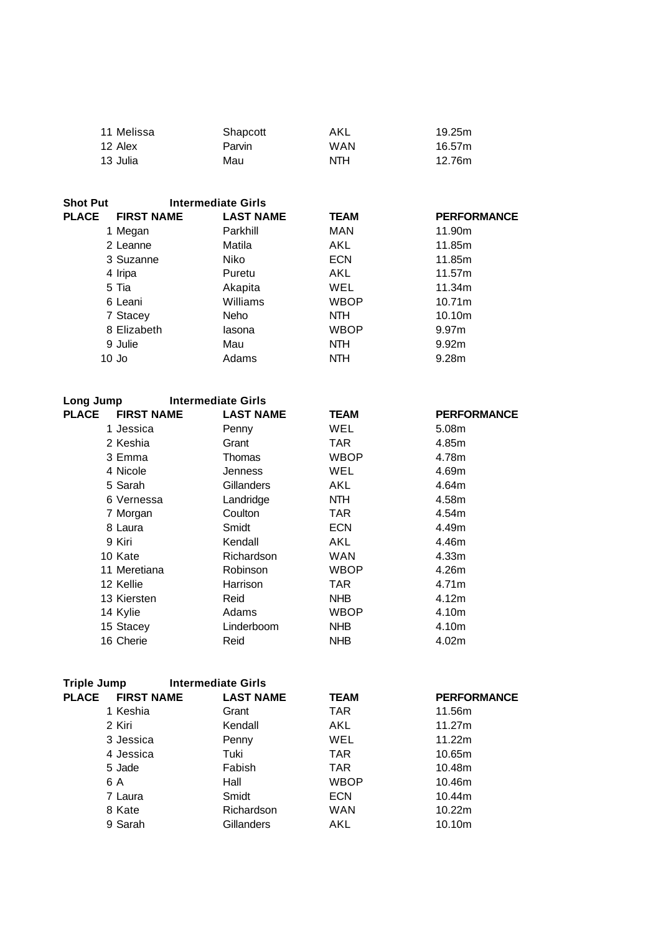| 11 Melissa | Shapcott | AKL        | 19.25m |
|------------|----------|------------|--------|
| 12 Alex    | Parvin   | <b>WAN</b> | 16.57m |
| 13 Julia   | Mau      | <b>NTH</b> | 12.76m |

| <b>Shot Put</b> | <b>Intermediate Girls</b> |                  |             |                    |
|-----------------|---------------------------|------------------|-------------|--------------------|
| <b>PLACE</b>    | <b>FIRST NAME</b>         | <b>LAST NAME</b> | <b>TEAM</b> | <b>PERFORMANCE</b> |
|                 | 1 Megan                   | Parkhill         | MAN         | 11.90m             |
|                 | 2 Leanne                  | Matila           | AKL         | 11.85m             |
|                 | 3 Suzanne                 | Niko             | <b>ECN</b>  | 11.85m             |
|                 | 4 Iripa                   | Puretu           | AKL         | 11.57m             |
|                 | 5 Tia                     | Akapita          | <b>WEL</b>  | 11.34m             |
|                 | 6 Leani                   | Williams         | <b>WBOP</b> | 10.71m             |
|                 | 7 Stacey                  | Neho             | NTH.        | 10.10m             |
|                 | 8 Elizabeth               | lasona           | <b>WBOP</b> | 9.97 <sub>m</sub>  |
|                 | 9 Julie                   | Mau              | <b>NTH</b>  | 9.92 <sub>m</sub>  |
|                 | $10$ Jo                   | Adams            | <b>NTH</b>  | 9.28m              |

| Long Jump                         | <b>Intermediate Girls</b> |             |                    |
|-----------------------------------|---------------------------|-------------|--------------------|
| <b>PLACE</b><br><b>FIRST NAME</b> | <b>LAST NAME</b>          | <b>TEAM</b> | <b>PERFORMANCE</b> |
| 1 Jessica                         | Penny                     | WEL         | 5.08 <sub>m</sub>  |
| 2 Keshia                          | Grant                     | TAR         | 4.85m              |
| 3 Emma                            | Thomas                    | <b>WBOP</b> | 4.78m              |
| 4 Nicole                          | Jenness                   | WEL         | 4.69m              |
| 5 Sarah                           | Gillanders                | AKL         | 4.64m              |
| 6 Vernessa                        | Landridge                 | NTH.        | 4.58m              |
| 7 Morgan                          | Coulton                   | TAR         | 4.54m              |
| 8 Laura                           | Smidt                     | <b>ECN</b>  | 4.49m              |
| 9 Kiri                            | Kendall                   | AKL         | 4.46m              |
| 10 Kate                           | Richardson                | <b>WAN</b>  | 4.33m              |
| 11 Meretiana                      | Robinson                  | <b>WBOP</b> | 4.26m              |
| 12 Kellie                         | Harrison                  | TAR         | 4.71m              |
| 13 Kiersten                       | Reid                      | <b>NHB</b>  | 4.12 <sub>m</sub>  |
| 14 Kylie                          | Adams                     | <b>WBOP</b> | 4.10m              |
| 15 Stacey                         | Linderboom                | <b>NHB</b>  | 4.10m              |
| 16 Cherie                         | Reid                      | <b>NHB</b>  | 4.02m              |

| <b>Triple Jump</b> |                   | <b>Intermediate Girls</b> |             |                    |
|--------------------|-------------------|---------------------------|-------------|--------------------|
| <b>PLACE</b>       | <b>FIRST NAME</b> | <b>LAST NAME</b>          | <b>TEAM</b> | <b>PERFORMANCE</b> |
|                    | 1 Keshia          | Grant                     | TAR.        | 11.56m             |
|                    | 2 Kiri            | Kendall                   | AKL         | 11.27m             |
|                    | 3 Jessica         | Penny                     | <b>WEL</b>  | 11.22m             |
|                    | 4 Jessica         | Tuki                      | TAR.        | 10.65m             |
|                    | 5 Jade            | Fabish                    | TAR.        | 10.48m             |
|                    | 6 A               | Hall                      | <b>WBOP</b> | 10.46m             |
|                    | 7 Laura           | Smidt                     | <b>ECN</b>  | 10.44m             |
|                    | 8 Kate            | Richardson                | <b>WAN</b>  | 10.22m             |
|                    | 9 Sarah           | Gillanders                | AKL         | 10.10m             |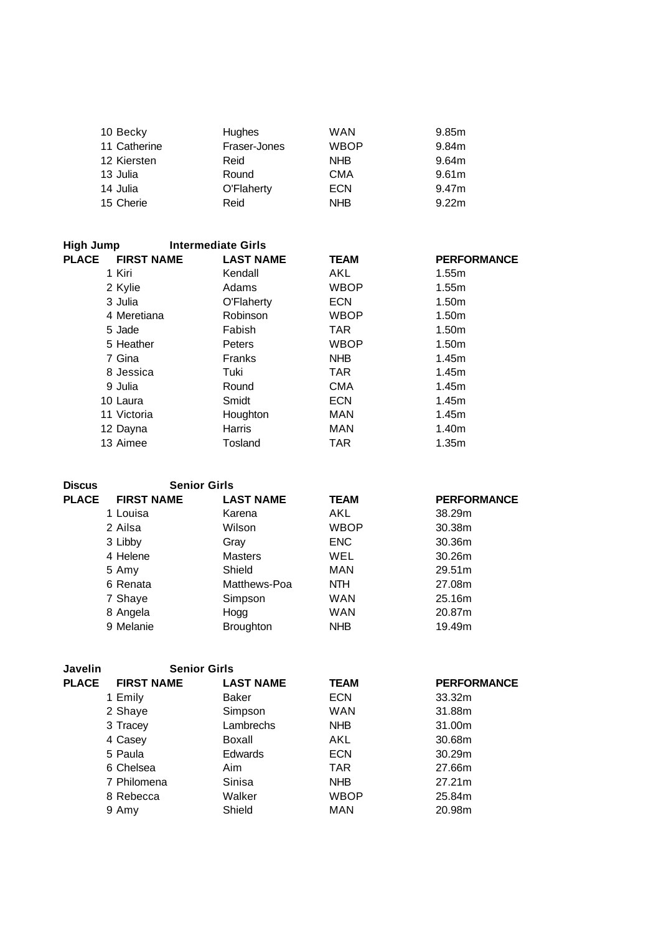| <b>Hughes</b> | WAN         | 9.85m             |
|---------------|-------------|-------------------|
| Fraser-Jones  | <b>WBOP</b> | 9.84m             |
| Reid          | <b>NHB</b>  | 9.64m             |
| Round         | <b>CMA</b>  | 9.61m             |
| O'Flaherty    | <b>ECN</b>  | 9.47m             |
| Reid          | <b>NHB</b>  | 9.22 <sub>m</sub> |
|               |             |                   |

| High Jump                         | <b>Intermediate Girls</b> |             |                    |
|-----------------------------------|---------------------------|-------------|--------------------|
| <b>PLACE</b><br><b>FIRST NAME</b> | <b>LAST NAME</b>          | <b>TEAM</b> | <b>PERFORMANCE</b> |
| 1 Kiri                            | Kendall                   | AKL         | 1.55m              |
| 2 Kylie                           | Adams                     | <b>WBOP</b> | 1.55m              |
| 3 Julia                           | O'Flaherty                | <b>ECN</b>  | 1.50m              |
| 4 Meretiana                       | Robinson                  | <b>WBOP</b> | 1.50m              |
| 5 Jade                            | Fabish                    | <b>TAR</b>  | 1.50m              |
| 5 Heather                         | Peters                    | <b>WBOP</b> | 1.50 <sub>m</sub>  |
| 7 Gina                            | <b>Franks</b>             | NHB         | 1.45m              |
| 8 Jessica                         | Tuki                      | <b>TAR</b>  | 1.45m              |
| 9 Julia                           | Round                     | <b>CMA</b>  | 1.45m              |
| 10 Laura                          | Smidt                     | <b>ECN</b>  | 1.45m              |
| 11 Victoria                       | Houghton                  | <b>MAN</b>  | 1.45m              |
| 12 Dayna                          | Harris                    | <b>MAN</b>  | 1.40m              |
| 13 Aimee                          | Tosland                   | TAR         | 1.35m              |

| <b>Discus</b> | <b>Senior Girls</b> |                  |             |                    |
|---------------|---------------------|------------------|-------------|--------------------|
| <b>PLACE</b>  | <b>FIRST NAME</b>   | <b>LAST NAME</b> | <b>TEAM</b> | <b>PERFORMANCE</b> |
|               | 1 Louisa            | Karena           | AKL         | 38.29m             |
|               | 2 Ailsa             | Wilson           | <b>WBOP</b> | 30.38m             |
|               | 3 Libby             | Grav             | <b>ENC</b>  | 30.36m             |
|               | 4 Helene            | <b>Masters</b>   | WEL         | 30.26 <sub>m</sub> |
|               | 5 Amy               | Shield           | MAN         | 29.51m             |
|               | 6 Renata            | Matthews-Poa     | <b>NTH</b>  | 27.08m             |
|               | 7 Shaye             | Simpson          | <b>WAN</b>  | 25.16m             |
|               | 8 Angela            | Hogg             | <b>WAN</b>  | 20.87m             |
|               | 9 Melanie           | <b>Broughton</b> | <b>NHB</b>  | 19.49m             |

| <b>FIRST NAME</b> | <b>LAST NAME</b> | <b>TEAM</b>         | <b>PERFORMANCE</b> |
|-------------------|------------------|---------------------|--------------------|
| 1 Emily           | Baker            | <b>ECN</b>          | 33.32m             |
| 2 Shaye           | Simpson          | <b>WAN</b>          | 31.88m             |
| 3 Tracey          | Lambrechs        | <b>NHB</b>          | 31.00m             |
| 4 Casey           | Boxall           | AKL                 | 30.68m             |
| 5 Paula           | Edwards          | <b>ECN</b>          | 30.29m             |
| 6 Chelsea         | Aim              | <b>TAR</b>          | 27.66m             |
| 7 Philomena       | Sinisa           | <b>NHB</b>          | 27.21m             |
| 8 Rebecca         | Walker           | <b>WBOP</b>         | 25.84m             |
| 9 Amy             | Shield           | MAN                 | 20.98m             |
|                   |                  | <b>Senior Girls</b> |                    |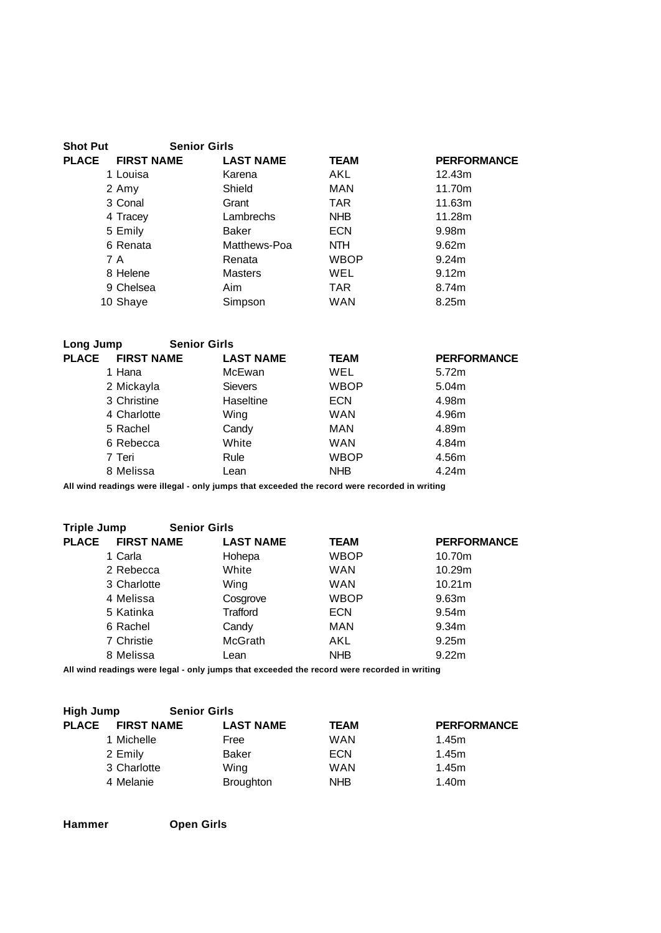| <b>Shot Put</b> | <b>Senior Girls</b> |                  |             |                    |
|-----------------|---------------------|------------------|-------------|--------------------|
| <b>PLACE</b>    | <b>FIRST NAME</b>   | <b>LAST NAME</b> | <b>TEAM</b> | <b>PERFORMANCE</b> |
|                 | 1 Louisa            | Karena           | AKL         | 12.43m             |
|                 | 2 Amy               | Shield           | <b>MAN</b>  | 11.70m             |
|                 | 3 Conal             | Grant            | TAR.        | 11.63m             |
|                 | 4 Tracey            | Lambrechs        | <b>NHB</b>  | 11.28m             |
|                 | 5 Emily             | Baker            | <b>ECN</b>  | 9.98m              |
|                 | 6 Renata            | Matthews-Poa     | NTH.        | 9.62m              |
|                 | 7 A                 | Renata           | <b>WBOP</b> | 9.24m              |
|                 | 8 Helene            | <b>Masters</b>   | <b>WEL</b>  | 9.12 <sub>m</sub>  |
|                 | 9 Chelsea           | Aim              | <b>TAR</b>  | 8.74m              |
|                 | 10 Shaye            | Simpson          | <b>WAN</b>  | 8.25m              |
|                 |                     |                  |             |                    |

| Long Jump | <b>Senior Girls</b> |
|-----------|---------------------|
|           |                     |

| <b>PLACE</b> | <b>FIRST NAME</b> | <b>LAST NAME</b> | <b>TEAM</b> | <b>PERFORMANCE</b> |
|--------------|-------------------|------------------|-------------|--------------------|
|              | 1 Hana            | McEwan           | WEL         | 5.72m              |
|              | 2 Mickayla        | <b>Sievers</b>   | <b>WBOP</b> | 5.04m              |
|              | 3 Christine       | Haseltine        | <b>ECN</b>  | 4.98m              |
|              | 4 Charlotte       | Wing             | <b>WAN</b>  | 4.96m              |
|              | 5 Rachel          | Candy            | MAN         | 4.89m              |
|              | 6 Rebecca         | White            | <b>WAN</b>  | 4.84m              |
|              | 7 Teri            | Rule             | <b>WBOP</b> | 4.56m              |
|              | 8 Melissa         | Lean             | <b>NHB</b>  | 4.24m              |
|              |                   |                  |             |                    |

| <b>Triple Jump</b> | <b>Senior Girls</b> |                  |             |                    |
|--------------------|---------------------|------------------|-------------|--------------------|
| <b>PLACE</b>       | <b>FIRST NAME</b>   | <b>LAST NAME</b> | <b>TEAM</b> | <b>PERFORMANCE</b> |
| 1 Carla            |                     | Hohepa           | <b>WBOP</b> | 10.70m             |
|                    | 2 Rebecca           | White            | <b>WAN</b>  | 10.29m             |
|                    | 3 Charlotte         | Wing             | <b>WAN</b>  | 10.21m             |
| 4 Melissa          |                     | Cosgrove         | <b>WBOP</b> | 9.63m              |
| 5 Katinka          |                     | Trafford         | <b>ECN</b>  | 9.54m              |
| 6 Rachel           |                     | Candy            | MAN         | 9.34 <sub>m</sub>  |
| 7 Christie         |                     | <b>McGrath</b>   | AKL         | 9.25 <sub>m</sub>  |
| 8 Melissa          |                     | Lean             | <b>NHB</b>  | 9.22 <sub>m</sub>  |

**All wind readings were legal - only jumps that exceeded the record were recorded in writing**

| High Jump    |                   | <b>Senior Girls</b> |             |                    |
|--------------|-------------------|---------------------|-------------|--------------------|
| <b>PLACE</b> | <b>FIRST NAME</b> | <b>LAST NAME</b>    | <b>TEAM</b> | <b>PERFORMANCE</b> |
|              | 1 Michelle        | Free                | <b>WAN</b>  | 1.45m              |
|              | 2 Emily           | Baker               | <b>ECN</b>  | 1.45m              |
|              | 3 Charlotte       | Wing                | <b>WAN</b>  | 1.45m              |
|              | 4 Melanie         | <b>Broughton</b>    | <b>NHB</b>  | 1.40m              |

**Hammer Open Girls**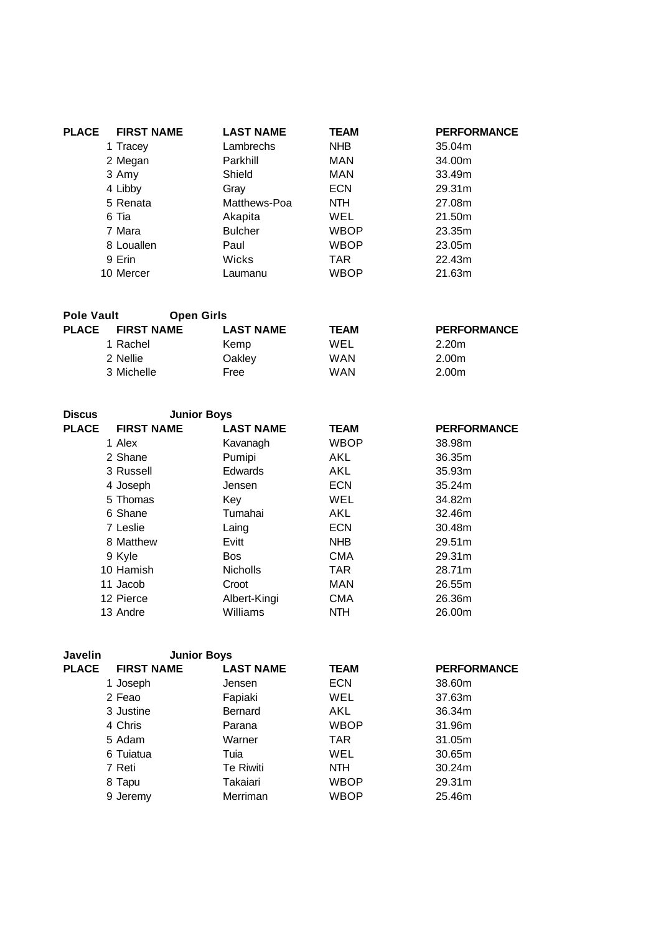| <b>PLACE</b> | <b>FIRST NAME</b> | <b>LAST NAME</b> | <b>TEAM</b> | <b>PERFORMANCE</b> |
|--------------|-------------------|------------------|-------------|--------------------|
|              | 1 Tracey          | Lambrechs        | <b>NHB</b>  | 35.04m             |
|              | 2 Megan           | Parkhill         | <b>MAN</b>  | 34.00m             |
|              | 3 Amy             | Shield           | <b>MAN</b>  | 33.49m             |
|              | 4 Libby           | Grav             | <b>ECN</b>  | 29.31m             |
|              | 5 Renata          | Matthews-Poa     | NTH.        | 27.08m             |
|              | 6 Tia             | Akapita          | WEL         | 21.50m             |
|              | 7 Mara            | <b>Bulcher</b>   | <b>WBOP</b> | 23.35m             |
|              | 8 Louallen        | Paul             | <b>WBOP</b> | 23.05m             |
|              | 9 Erin            | Wicks            | TAR.        | 22.43m             |
|              | 10 Mercer         | Laumanu          | <b>WBOP</b> | 21.63m             |

| <b>Pole Vault</b> | <b>Open Girls</b> |                  |             |                    |
|-------------------|-------------------|------------------|-------------|--------------------|
| <b>PLACE</b>      | <b>FIRST NAME</b> | <b>LAST NAME</b> | <b>TEAM</b> | <b>PERFORMANCE</b> |
|                   | 1 Rachel          | Kemp             | WEL         | 2.20 <sub>m</sub>  |
|                   | 2 Nellie          | Oakley           | <b>WAN</b>  | 2.00m              |
|                   | 3 Michelle        | Free             | <b>WAN</b>  | 2.00m              |

| <b>Discus</b> | <b>Junior Boys</b> |                  |             |                    |
|---------------|--------------------|------------------|-------------|--------------------|
| <b>PLACE</b>  | <b>FIRST NAME</b>  | <b>LAST NAME</b> | <b>TEAM</b> | <b>PERFORMANCE</b> |
|               | 1 Alex             | Kavanagh         | <b>WBOP</b> | 38.98m             |
|               | 2 Shane            | Pumipi           | AKL         | 36.35m             |
|               | 3 Russell          | <b>Edwards</b>   | AKL         | 35.93m             |
|               | 4 Joseph           | Jensen           | <b>ECN</b>  | 35.24m             |
|               | 5 Thomas           | Key              | <b>WEL</b>  | 34.82m             |
|               | 6 Shane            | Tumahai          | AKL         | 32.46m             |
|               | 7 Leslie           | Laing            | ECN         | 30.48m             |
|               | 8 Matthew          | Evitt            | <b>NHB</b>  | 29.51m             |
|               | 9 Kyle             | Bos              | <b>CMA</b>  | 29.31m             |
|               | 10 Hamish          | <b>Nicholls</b>  | <b>TAR</b>  | 28.71m             |
|               | 11 Jacob           | Croot            | MAN         | 26.55m             |
|               | 12 Pierce          | Albert-Kingi     | <b>CMA</b>  | 26.36m             |
|               | 13 Andre           | Williams         | <b>NTH</b>  | 26.00m             |

| <b>Javelin</b> | <b>Junior Boys</b> |                  |             |                    |
|----------------|--------------------|------------------|-------------|--------------------|
| <b>PLACE</b>   | <b>FIRST NAME</b>  | <b>LAST NAME</b> | <b>TEAM</b> | <b>PERFORMANCE</b> |
|                | 1 Joseph           | Jensen           | <b>ECN</b>  | 38.60m             |
|                | 2 Feao             | Fapiaki          | WEL         | 37.63m             |
|                | 3 Justine          | Bernard          | AKL         | 36.34m             |
|                | 4 Chris            | Parana           | <b>WBOP</b> | 31.96m             |
|                | 5 Adam             | Warner           | <b>TAR</b>  | 31.05m             |
|                | 6 Tuiatua          | Tuia             | WEL         | 30.65m             |
|                | 7 Reti             | Te Riwiti        | NTH.        | 30.24m             |
|                | 8 Tapu             | Takaiari         | <b>WBOP</b> | 29.31m             |
|                | 9 Jeremy           | Merriman         | WBOP        | 25.46m             |
|                |                    |                  |             |                    |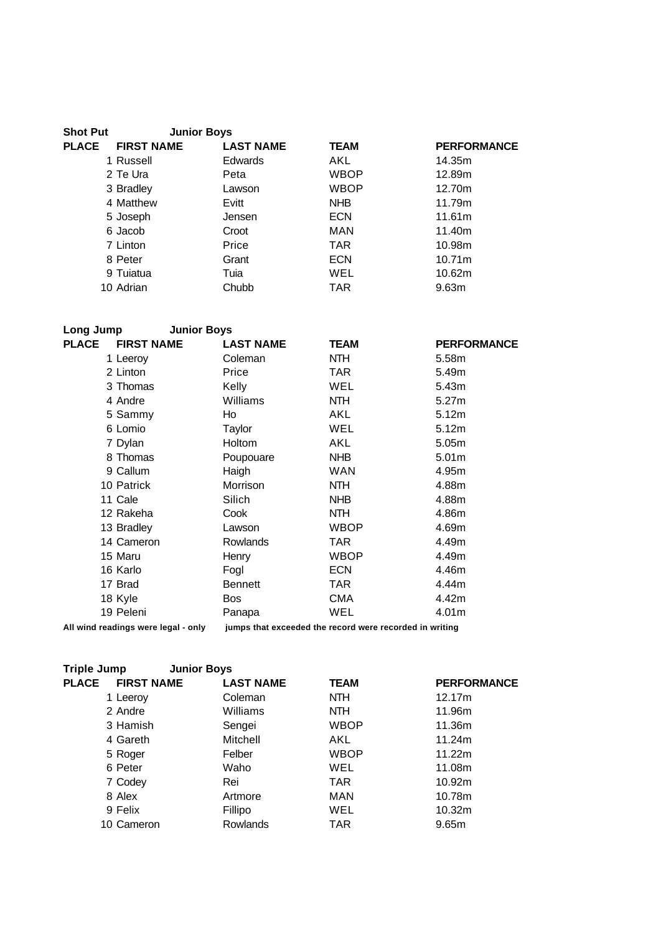| <b>Shot Put</b> | <b>Junior Boys</b> |                  |             |                    |
|-----------------|--------------------|------------------|-------------|--------------------|
| <b>PLACE</b>    | <b>FIRST NAME</b>  | <b>LAST NAME</b> | <b>TEAM</b> | <b>PERFORMANCE</b> |
|                 | 1 Russell          | <b>Edwards</b>   | AKL         | 14.35m             |
|                 | 2 Te Ura           | Peta             | <b>WBOP</b> | 12.89m             |
|                 | 3 Bradley          | Lawson           | <b>WBOP</b> | 12.70m             |
|                 | 4 Matthew          | Evitt            | <b>NHB</b>  | 11.79m             |
|                 | 5 Joseph           | Jensen           | <b>ECN</b>  | 11.61m             |
|                 | 6 Jacob            | Croot            | MAN         | 11.40m             |
|                 | 7 Linton           | Price            | <b>TAR</b>  | 10.98m             |
|                 | 8 Peter            | Grant            | <b>ECN</b>  | 10.71m             |
|                 | 9 Tuiatua          | Tuia             | WEL         | 10.62m             |
|                 | 10 Adrian          | Chubb            | TAR         | 9.63 <sub>m</sub>  |
|                 |                    |                  |             |                    |

| Long Jump<br><b>Junior Boys</b>     |                  |                                                         |                    |
|-------------------------------------|------------------|---------------------------------------------------------|--------------------|
| <b>PLACE</b><br><b>FIRST NAME</b>   | <b>LAST NAME</b> | <b>TEAM</b>                                             | <b>PERFORMANCE</b> |
| 1 Leeroy                            | Coleman          | <b>NTH</b>                                              | 5.58m              |
| 2 Linton                            | Price            | TAR.                                                    | 5.49m              |
| 3 Thomas                            | Kelly            | WEL                                                     | 5.43m              |
| 4 Andre                             | Williams         | NTH.                                                    | 5.27m              |
| 5 Sammy                             | Ho               | AKL                                                     | 5.12m              |
| 6 Lomio                             | Taylor           | WEL                                                     | 5.12m              |
| 7 Dylan                             | Holtom           | AKL                                                     | 5.05m              |
| 8 Thomas                            | Poupouare        | <b>NHB</b>                                              | 5.01 <sub>m</sub>  |
| 9 Callum                            | Haigh            | WAN                                                     | 4.95m              |
| 10 Patrick                          | <b>Morrison</b>  | <b>NTH</b>                                              | 4.88m              |
| 11 Cale                             | Silich           | <b>NHB</b>                                              | 4.88m              |
| 12 Rakeha                           | Cook             | NTH.                                                    | 4.86m              |
| 13 Bradley                          | Lawson           | <b>WBOP</b>                                             | 4.69m              |
| 14 Cameron                          | <b>Rowlands</b>  | TAR                                                     | 4.49m              |
| 15 Maru                             | Henry            | <b>WBOP</b>                                             | 4.49m              |
| 16 Karlo                            | Fogl             | <b>ECN</b>                                              | 4.46m              |
| 17 Brad                             | <b>Bennett</b>   | TAR                                                     | 4.44m              |
| 18 Kyle                             | <b>Bos</b>       | <b>CMA</b>                                              | 4.42m              |
| 19 Peleni                           | Panapa           | WEL                                                     | 4.01m              |
| All wind readings were legal - only |                  | jumps that exceeded the record were recorded in writing |                    |

**Triple Jump Junior Boys**

| <b>THAIR ANILY</b>                | <b>UUIIIVI DUVJ</b> |             |                    |
|-----------------------------------|---------------------|-------------|--------------------|
| <b>PLACE</b><br><b>FIRST NAME</b> | <b>LAST NAME</b>    | <b>TEAM</b> | <b>PERFORMANCE</b> |
| 1 Leeroy                          | Coleman             | NTH.        | 12.17m             |
| 2 Andre                           | Williams            | <b>NTH</b>  | 11.96m             |
| 3 Hamish                          | Sengei              | <b>WBOP</b> | 11.36m             |
| 4 Gareth                          | Mitchell            | AKL.        | 11.24m             |
| 5 Roger                           | Felber              | WBOP        | 11.22m             |
| 6 Peter                           | Waho                | WEL         | 11.08m             |
| 7 Codey                           | Rei                 | <b>TAR</b>  | 10.92m             |
| 8 Alex                            | Artmore             | <b>MAN</b>  | 10.78m             |
| 9 Felix                           | Fillipo             | WEL.        | 10.32m             |
| 10 Cameron                        | <b>Rowlands</b>     | TAR         | 9.65m              |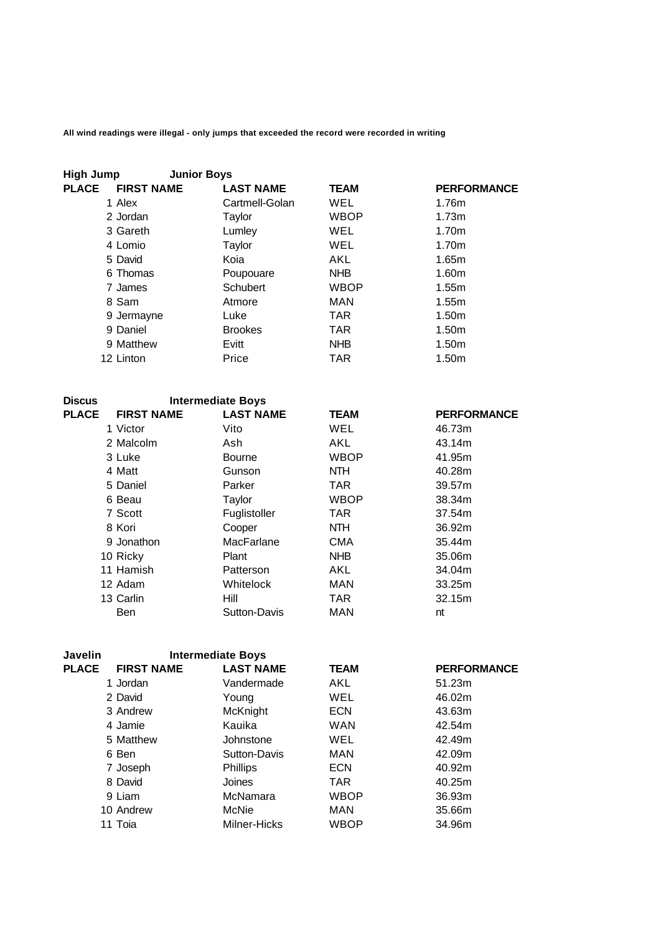| <b>High Jump</b>                  | <b>Junior Boys</b> |             |                    |
|-----------------------------------|--------------------|-------------|--------------------|
| <b>PLACE</b><br><b>FIRST NAME</b> | <b>LAST NAME</b>   | <b>TEAM</b> | <b>PERFORMANCE</b> |
| 1 Alex                            | Cartmell-Golan     | WEL         | 1.76m              |
| 2 Jordan                          | Taylor             | <b>WBOP</b> | 1.73m              |
| 3 Gareth                          | Lumley             | WEL         | 1.70m              |
| 4 Lomio                           | Taylor             | WEL         | 1.70m              |
| 5 David                           | Koia               | AKL         | 1.65m              |
| 6 Thomas                          | Poupouare          | <b>NHB</b>  | 1.60m              |
| 7 James                           | Schubert           | <b>WBOP</b> | 1.55m              |
| 8 Sam                             | Atmore             | MAN         | 1.55m              |
| 9 Jermayne                        | Luke               | <b>TAR</b>  | 1.50 <sub>m</sub>  |
| 9 Daniel                          | <b>Brookes</b>     | <b>TAR</b>  | 1.50 <sub>m</sub>  |
| 9 Matthew                         | Evitt              | <b>NHB</b>  | 1.50 <sub>m</sub>  |
| 12 Linton                         | Price              | <b>TAR</b>  | 1.50m              |

| <b>Discus</b> |                   | <b>Intermediate Boys</b> |             |                    |
|---------------|-------------------|--------------------------|-------------|--------------------|
| <b>PLACE</b>  | <b>FIRST NAME</b> | <b>LAST NAME</b>         | <b>TEAM</b> | <b>PERFORMANCE</b> |
|               | 1 Victor          | Vito                     | WEL         | 46.73m             |
|               | 2 Malcolm         | Ash                      | AKL         | 43.14m             |
|               | 3 Luke            | <b>Bourne</b>            | <b>WBOP</b> | 41.95m             |
|               | 4 Matt            | Gunson                   | NTH.        | 40.28m             |
|               | 5 Daniel          | Parker                   | <b>TAR</b>  | 39.57m             |
|               | 6 Beau            | Taylor                   | <b>WBOP</b> | 38.34m             |
|               | 7 Scott           | Fuglistoller             | TAR         | 37.54m             |
|               | 8 Kori            | Cooper                   | <b>NTH</b>  | 36.92m             |
|               | 9 Jonathon        | MacFarlane               | <b>CMA</b>  | 35.44m             |
|               | 10 Ricky          | Plant                    | <b>NHB</b>  | 35.06m             |
|               | 11 Hamish         | Patterson                | AKL         | 34.04m             |
|               | 12 Adam           | Whitelock                | MAN         | 33.25m             |
|               | 13 Carlin         | Hill                     | TAR.        | 32.15m             |
|               | Ben               | Sutton-Davis             | MAN         | nt                 |

| Javelin      | <b>Intermediate Boys</b> |                  |             |                    |
|--------------|--------------------------|------------------|-------------|--------------------|
| <b>PLACE</b> | <b>FIRST NAME</b>        | <b>LAST NAME</b> | <b>TEAM</b> | <b>PERFORMANCE</b> |
|              | 1 Jordan                 | Vandermade       | AKL         | 51.23m             |
|              | 2 David                  | Young            | WEL         | 46.02m             |
|              | 3 Andrew                 | McKnight         | <b>ECN</b>  | 43.63m             |
|              | 4 Jamie                  | Kauika           | <b>WAN</b>  | 42.54m             |
|              | 5 Matthew                | Johnstone        | WEL         | 42.49m             |
|              | 6 Ben                    | Sutton-Davis     | MAN         | 42.09m             |
|              | 7 Joseph                 | <b>Phillips</b>  | <b>ECN</b>  | 40.92m             |
|              | 8 David                  | Joines           | <b>TAR</b>  | 40.25m             |
|              | 9 Liam                   | McNamara         | <b>WBOP</b> | 36.93m             |
|              | 10 Andrew                | McNie            | MAN         | 35.66m             |
|              | 11 Toia                  | Milner-Hicks     | <b>WBOP</b> | 34.96m             |
|              |                          |                  |             |                    |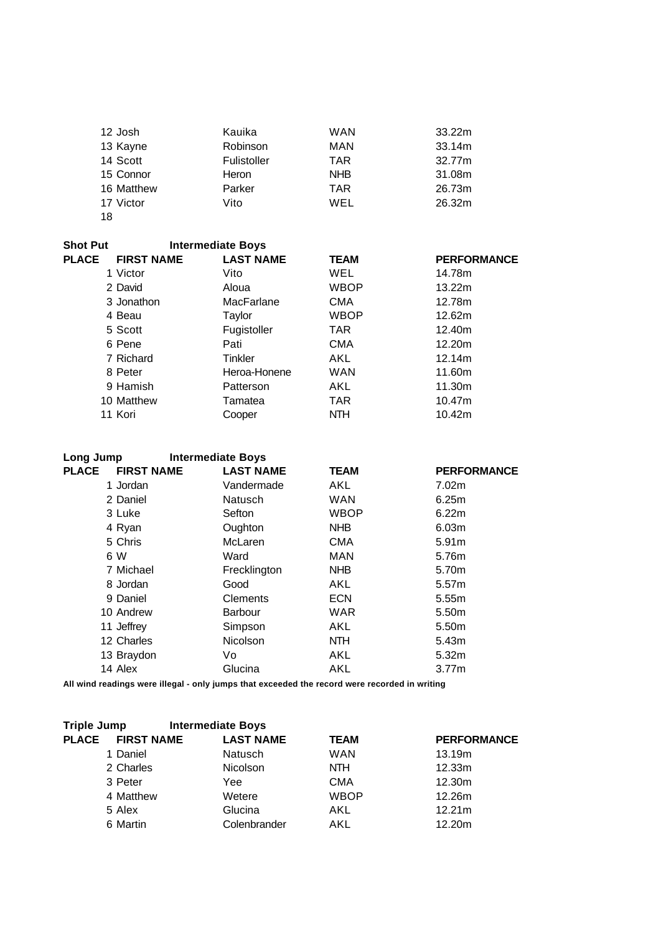| 12 Josh    | Kauika      | <b>WAN</b> | 33.22m |
|------------|-------------|------------|--------|
| 13 Kayne   | Robinson    | MAN        | 33.14m |
| 14 Scott   | Fulistoller | <b>TAR</b> | 32.77m |
| 15 Connor  | Heron       | <b>NHB</b> | 31.08m |
| 16 Matthew | Parker      | <b>TAR</b> | 26.73m |
| 17 Victor  | Vito        | WEL        | 26.32m |
| 18         |             |            |        |

| <b>Shot Put</b> | <b>Intermediate Boys</b> |                  |             |                    |
|-----------------|--------------------------|------------------|-------------|--------------------|
| <b>PLACE</b>    | <b>FIRST NAME</b>        | <b>LAST NAME</b> | <b>TEAM</b> | <b>PERFORMANCE</b> |
|                 | 1 Victor                 | Vito             | WEL         | 14.78m             |
|                 | 2 David                  | Aloua            | WBOP        | 13.22m             |
|                 | 3 Jonathon               | MacFarlane       | <b>CMA</b>  | 12.78m             |
|                 | 4 Beau                   | Taylor           | <b>WBOP</b> | 12.62m             |
|                 | 5 Scott                  | Fugistoller      | <b>TAR</b>  | 12.40m             |
|                 | 6 Pene                   | Pati             | <b>CMA</b>  | 12.20m             |
|                 | 7 Richard                | Tinkler          | AKL         | 12.14m             |
|                 | 8 Peter                  | Heroa-Honene     | <b>WAN</b>  | 11.60m             |
|                 | 9 Hamish                 | Patterson        | AKL         | 11.30m             |
|                 | 10 Matthew               | Tamatea          | <b>TAR</b>  | 10.47m             |
|                 | 11 Kori                  | Cooper           | <b>NTH</b>  | 10.42m             |

| Long Jump                         | <b>Intermediate Boys</b> |                  |             |                    |
|-----------------------------------|--------------------------|------------------|-------------|--------------------|
| <b>PLACE</b><br><b>FIRST NAME</b> |                          | <b>LAST NAME</b> | <b>TEAM</b> | <b>PERFORMANCE</b> |
| 1 Jordan                          |                          | Vandermade       | AKL         | 7.02m              |
| 2 Daniel                          |                          | <b>Natusch</b>   | <b>WAN</b>  | 6.25m              |
| 3 Luke                            | Sefton                   |                  | <b>WBOP</b> | 6.22m              |
| 4 Ryan                            |                          | Oughton          | <b>NHB</b>  | 6.03m              |
| 5 Chris                           |                          | McLaren          | <b>CMA</b>  | 5.91m              |
| 6 W                               | Ward                     |                  | <b>MAN</b>  | 5.76m              |
| 7 Michael                         |                          | Frecklington     | <b>NHB</b>  | 5.70m              |
| 8 Jordan                          | Good                     |                  | AKL         | 5.57m              |
| 9 Daniel                          |                          | Clements         | <b>ECN</b>  | 5.55m              |
| 10 Andrew                         |                          | <b>Barbour</b>   | WAR         | 5.50m              |
| 11 Jeffrey                        |                          | Simpson          | AKL         | 5.50m              |
| 12 Charles                        |                          | <b>Nicolson</b>  | NTH.        | 5.43m              |
| 13 Braydon                        | Vo                       |                  | AKL         | 5.32m              |
| 14 Alex                           |                          | Glucina          | AKL         | 3.77m              |
|                                   |                          |                  |             |                    |

| <b>Triple Jump</b> |                   | <b>Intermediate Boys</b> |             |                    |
|--------------------|-------------------|--------------------------|-------------|--------------------|
| <b>PLACE</b>       | <b>FIRST NAME</b> | <b>LAST NAME</b>         | <b>TEAM</b> | <b>PERFORMANCE</b> |
|                    | 1 Daniel          | <b>Natusch</b>           | <b>WAN</b>  | 13.19m             |
|                    | 2 Charles         | <b>Nicolson</b>          | NTH.        | 12.33m             |
|                    | 3 Peter           | Yee                      | CMA         | 12.30m             |
|                    | 4 Matthew         | Wetere                   | <b>WBOP</b> | 12.26m             |
|                    | 5 Alex            | Glucina                  | AKL         | 12.21m             |
|                    | 6 Martin          | Colenbrander             | AKL         | 12.20m             |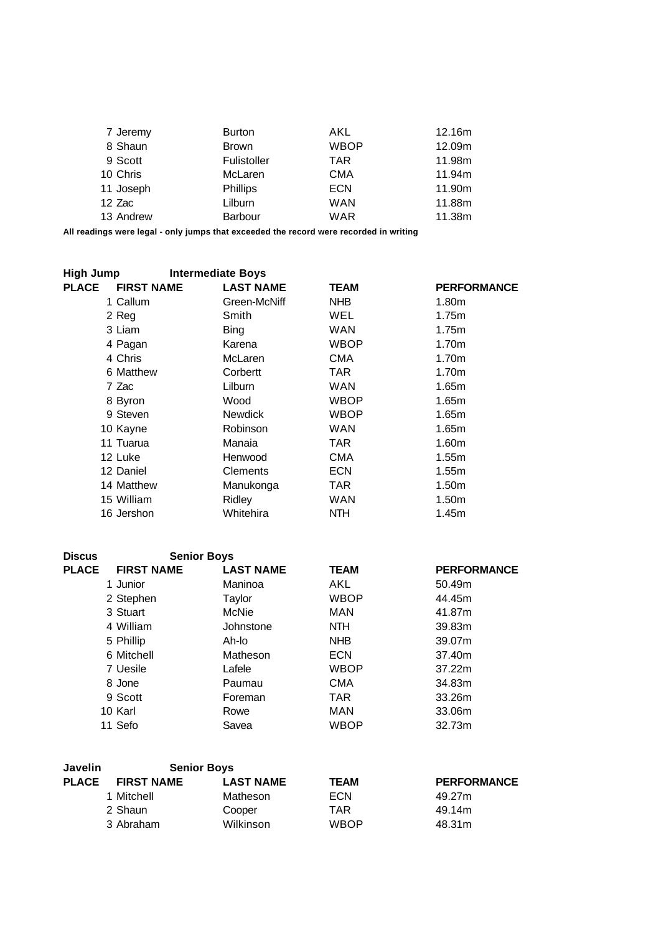| 7 Jeremy  | <b>Burton</b>   | AKL        | 12.16m |
|-----------|-----------------|------------|--------|
| 8 Shaun   | <b>Brown</b>    | WBOP       | 12.09m |
| 9 Scott   | Fulistoller     | <b>TAR</b> | 11.98m |
| 10 Chris  | McLaren         | <b>CMA</b> | 11.94m |
| 11 Joseph | <b>Phillips</b> | <b>ECN</b> | 11.90m |
| 12 Zac    | Lilburn         | <b>WAN</b> | 11.88m |
| 13 Andrew | <b>Barbour</b>  | <b>WAR</b> | 11.38m |

| High Jump                         | <b>Intermediate Boys</b> |             |                    |
|-----------------------------------|--------------------------|-------------|--------------------|
| <b>PLACE</b><br><b>FIRST NAME</b> | <b>LAST NAME</b>         | <b>TEAM</b> | <b>PERFORMANCE</b> |
| 1 Callum                          | Green-McNiff             | NHB.        | 1.80m              |
| 2 Reg                             | Smith                    | <b>WEL</b>  | 1.75m              |
| 3 Liam                            | <b>Bing</b>              | <b>WAN</b>  | 1.75m              |
| 4 Pagan                           | Karena                   | <b>WBOP</b> | 1.70 <sub>m</sub>  |
| 4 Chris                           | McLaren                  | <b>CMA</b>  | 1.70 <sub>m</sub>  |
| 6 Matthew                         | Corbertt                 | TAR.        | 1.70m              |
| 7 Zac                             | Lilburn                  | <b>WAN</b>  | 1.65m              |
| 8 Byron                           | Wood                     | <b>WBOP</b> | 1.65m              |
| 9 Steven                          | <b>Newdick</b>           | <b>WBOP</b> | 1.65m              |
| 10 Kayne                          | Robinson                 | <b>WAN</b>  | 1.65m              |
| 11 Tuarua                         | Manaia                   | TAR.        | 1.60m              |
| 12 Luke                           | Henwood                  | <b>CMA</b>  | 1.55m              |
| 12 Daniel                         | Clements                 | <b>ECN</b>  | 1.55m              |
| 14 Matthew                        | Manukonga                | TAR.        | 1.50 <sub>m</sub>  |
| 15 William                        | Ridley                   | <b>WAN</b>  | 1.50 <sub>m</sub>  |
| 16 Jershon                        | Whitehira                | NTH.        | 1.45m              |

| <b>Discus</b> | <b>Senior Boys</b> |                  |             |                    |
|---------------|--------------------|------------------|-------------|--------------------|
| <b>PLACE</b>  | <b>FIRST NAME</b>  | <b>LAST NAME</b> | <b>TEAM</b> | <b>PERFORMANCE</b> |
|               | 1 Junior           | Maninoa          | AKL         | 50.49m             |
|               | 2 Stephen          | Taylor           | <b>WBOP</b> | 44.45m             |
|               | 3 Stuart           | McNie            | MAN         | 41.87m             |
|               | 4 William          | Johnstone        | <b>NTH</b>  | 39.83m             |
|               | 5 Phillip          | Ah-lo            | <b>NHB</b>  | 39.07m             |
|               | 6 Mitchell         | Matheson         | <b>ECN</b>  | 37.40m             |
|               | 7 Uesile           | Lafele           | <b>WBOP</b> | 37.22m             |
|               | 8 Jone             | Paumau           | <b>CMA</b>  | 34.83m             |
|               | 9 Scott            | Foreman          | <b>TAR</b>  | 33.26m             |
|               | 10 Karl            | Rowe             | <b>MAN</b>  | 33.06m             |
|               | 11 Sefo            | Savea            | <b>WBOP</b> | 32.73m             |

| <b>Javelin</b> | <b>Senior Boys</b> |                  |             |                    |
|----------------|--------------------|------------------|-------------|--------------------|
| <b>PLACE</b>   | <b>FIRST NAME</b>  | <b>LAST NAME</b> | <b>TEAM</b> | <b>PERFORMANCE</b> |
|                | 1 Mitchell         | Matheson         | <b>ECN</b>  | 49.27m             |
|                | 2 Shaun            | Cooper           | TAR         | 49.14m             |
|                | 3 Abraham          | Wilkinson        | <b>WBOP</b> | 48.31m             |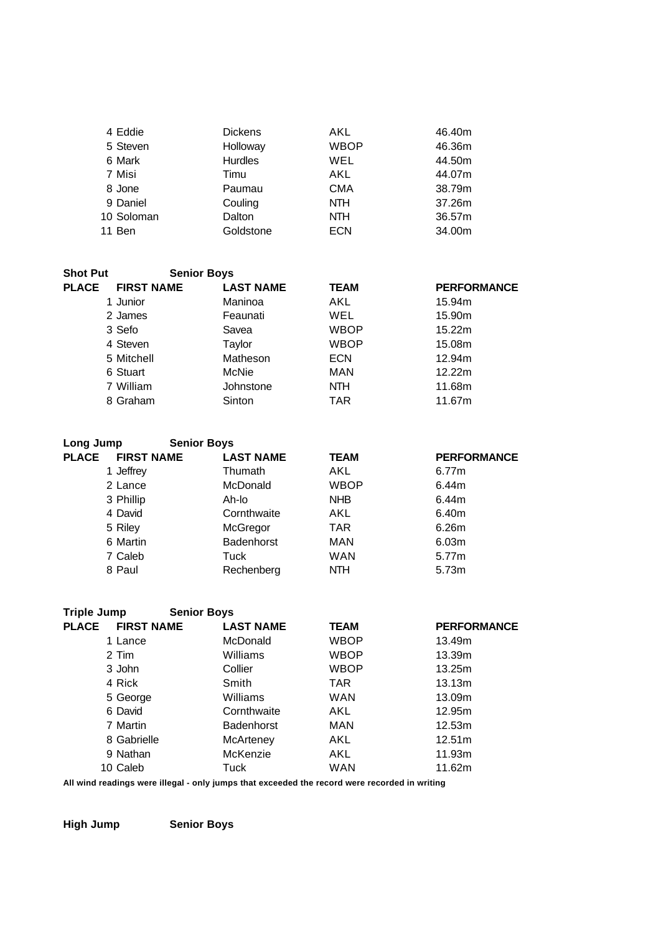| 4 Eddie    | <b>Dickens</b> | AKL         | 46.40m |
|------------|----------------|-------------|--------|
| 5 Steven   | Holloway       | <b>WBOP</b> | 46.36m |
| 6 Mark     | <b>Hurdles</b> | <b>WEL</b>  | 44.50m |
| 7 Misi     | Timu           | AKL         | 44.07m |
| 8 Jone     | Paumau         | <b>CMA</b>  | 38.79m |
| 9 Daniel   | Couling        | <b>NTH</b>  | 37.26m |
| 10 Soloman | Dalton         | <b>NTH</b>  | 36.57m |
| 11 Ben     | Goldstone      | <b>ECN</b>  | 34.00m |

| <b>Shot Put</b> | <b>Senior Boys</b> |                  |             |                    |
|-----------------|--------------------|------------------|-------------|--------------------|
| <b>PLACE</b>    | <b>FIRST NAME</b>  | <b>LAST NAME</b> | <b>TEAM</b> | <b>PERFORMANCE</b> |
|                 | 1 Junior           | Maninoa          | AKL         | 15.94m             |
|                 | 2 James            | Feaunati         | WEL         | 15.90m             |
|                 | 3 Sefo             | Savea            | <b>WBOP</b> | 15.22m             |
|                 | 4 Steven           | Taylor           | <b>WBOP</b> | 15.08m             |
|                 | 5 Mitchell         | Matheson         | <b>ECN</b>  | 12.94m             |
|                 | 6 Stuart           | McNie            | MAN         | 12.22m             |
|                 | 7 William          | Johnstone        | NTH.        | 11.68m             |
|                 | 8 Graham           | Sinton           | TAR         | 11.67m             |

| Long Jump                         | <b>Senior Boys</b> |             |                    |
|-----------------------------------|--------------------|-------------|--------------------|
| <b>PLACE</b><br><b>FIRST NAME</b> | <b>LAST NAME</b>   | <b>TEAM</b> | <b>PERFORMANCE</b> |
| 1 Jeffrey                         | Thumath            | AKL         | 6.77m              |
| 2 Lance                           | <b>McDonald</b>    | <b>WBOP</b> | 6.44m              |
| 3 Phillip                         | Ah-lo              | <b>NHB</b>  | 6.44m              |
| 4 David                           | Cornthwaite        | AKL         | 6.40m              |
| 5 Riley                           | McGregor           | <b>TAR</b>  | 6.26m              |
| 6 Martin                          | Badenhorst         | <b>MAN</b>  | 6.03m              |
| 7 Caleb                           | Tuck               | <b>WAN</b>  | 5.77m              |
| 8 Paul                            | Rechenberg         | <b>NTH</b>  | 5.73 <sub>m</sub>  |

| <b>Triple Jump</b> | <b>Senior Boys</b> |                   |             |                    |
|--------------------|--------------------|-------------------|-------------|--------------------|
| <b>PLACE</b>       | <b>FIRST NAME</b>  | <b>LAST NAME</b>  | <b>TEAM</b> | <b>PERFORMANCE</b> |
| 1 Lance            |                    | <b>McDonald</b>   | <b>WBOP</b> | 13.49m             |
| 2 Tim              |                    | Williams          | WBOP        | 13.39m             |
| 3 John             |                    | Collier           | WBOP        | 13.25m             |
| 4 Rick             |                    | Smith             | <b>TAR</b>  | 13.13m             |
| 5 George           |                    | Williams          | WAN         | 13.09m             |
| 6 David            |                    | Cornthwaite       | AKL         | 12.95m             |
| 7 Martin           |                    | <b>Badenhorst</b> | <b>MAN</b>  | 12.53m             |
| 8 Gabrielle        |                    | McArteney         | AKL.        | 12.51m             |
| 9 Nathan           |                    | McKenzie          | AKL         | 11.93m             |
| 10 Caleb           |                    | Tuck              | WAN         | 11.62m             |
|                    |                    |                   |             |                    |

**High Jump Senior Boys**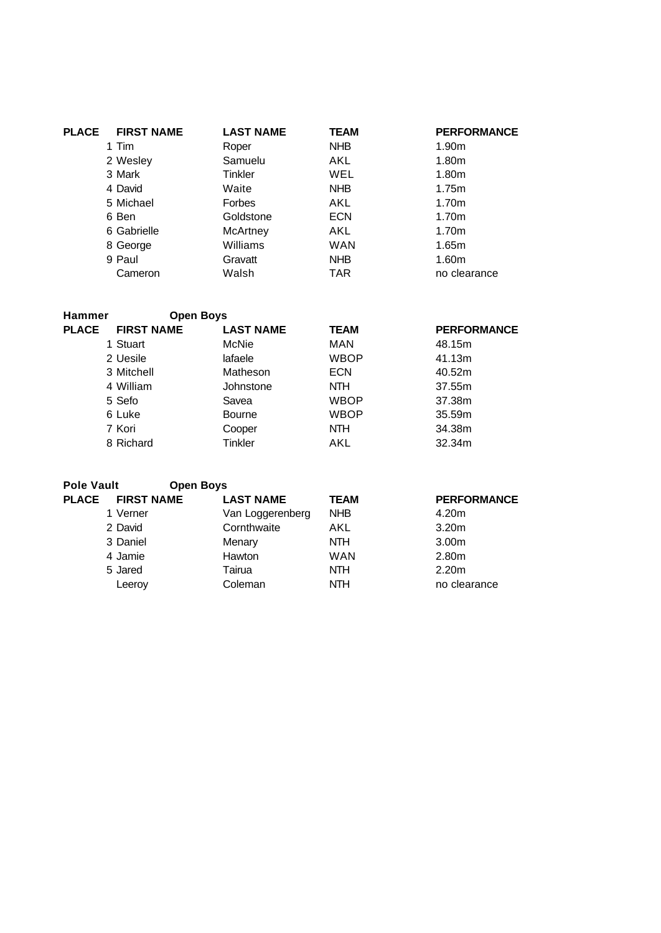| PLACE | <b>FIRST NAME</b> | <b>LAST NAME</b> | <b>TEAM</b> | <b>PERFORMANCE</b> |
|-------|-------------------|------------------|-------------|--------------------|
|       | 1 Tim             | Roper            | NHB         | 1.90m              |
|       | 2 Wesley          | Samuelu          | AKL         | 1.80m              |
|       | 3 Mark            | Tinkler          | <b>WEL</b>  | 1.80m              |
|       | 4 David           | Waite            | NHB         | 1.75m              |
|       | 5 Michael         | <b>Forbes</b>    | AKL         | 1.70m              |
|       | 6 Ben             | Goldstone        | <b>ECN</b>  | 1.70m              |
|       | 6 Gabrielle       | McArtney         | AKL         | 1.70m              |
|       | 8 George          | Williams         | <b>WAN</b>  | 1.65m              |
|       | 9 Paul            | Gravatt          | NHB         | 1.60m              |
|       | Cameron           | Walsh            | <b>TAR</b>  | no clearance       |

| <b>Hammer</b> | <b>Open Boys</b>  |                  |             |                    |
|---------------|-------------------|------------------|-------------|--------------------|
| <b>PLACE</b>  | <b>FIRST NAME</b> | <b>LAST NAME</b> | <b>TEAM</b> | <b>PERFORMANCE</b> |
|               | 1 Stuart          | McNie            | MAN         | 48.15m             |
|               | 2 Uesile          | lafaele          | <b>WBOP</b> | 41.13m             |
|               | 3 Mitchell        | Matheson         | <b>ECN</b>  | 40.52m             |
|               | 4 William         | Johnstone        | <b>NTH</b>  | 37.55m             |
|               | 5 Sefo            | Savea            | <b>WBOP</b> | 37.38m             |
|               | 6 Luke            | <b>Bourne</b>    | <b>WBOP</b> | 35.59m             |
|               | 7 Kori            | Cooper           | <b>NTH</b>  | 34.38m             |
|               | 8 Richard         | Tinkler          | AKL         | 32.34m             |
|               |                   |                  |             |                    |

| <b>Pole Vault</b> | <b>Open Boys</b>  |                  |             |                    |
|-------------------|-------------------|------------------|-------------|--------------------|
| <b>PLACE</b>      | <b>FIRST NAME</b> | <b>LAST NAME</b> | <b>TEAM</b> | <b>PERFORMANCE</b> |
|                   | 1 Verner          | Van Loggerenberg | <b>NHB</b>  | 4.20m              |
|                   | 2 David           | Cornthwaite      | AKL         | 3.20 <sub>m</sub>  |
|                   | 3 Daniel          | Menary           | <b>NTH</b>  | 3.00 <sub>m</sub>  |
|                   | 4 Jamie           | Hawton           | <b>WAN</b>  | 2.80m              |
|                   | 5 Jared           | Tairua           | <b>NTH</b>  | 2.20 <sub>m</sub>  |
|                   | Leeroy            | Coleman          | <b>NTH</b>  | no clearance       |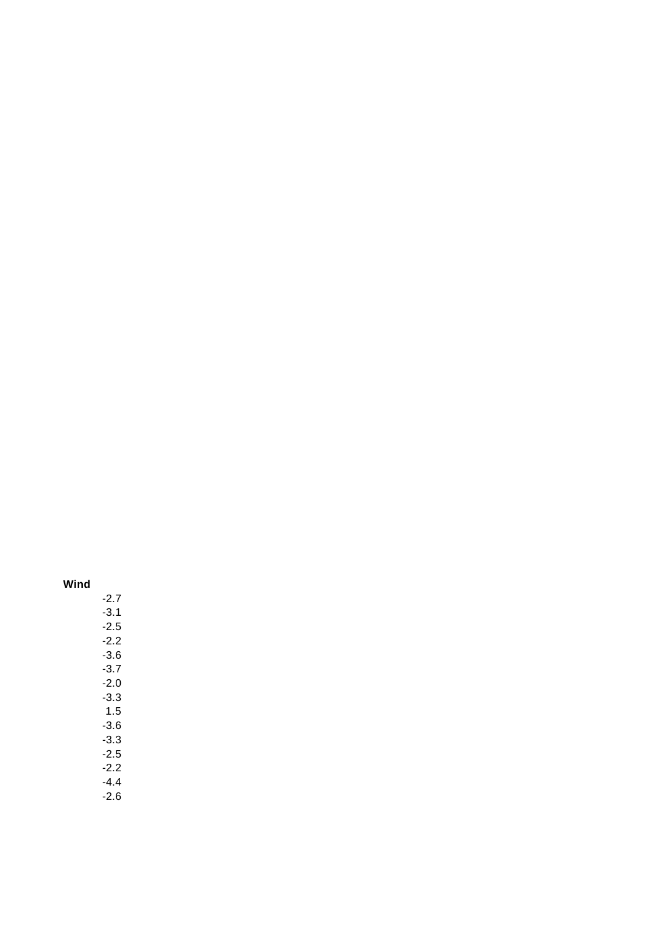# **Wind**

- -2.7 -3.1 -2.5 -2.2 -3.6 -3.7 -2.0 -3.3 1.5 -3.6  $-3.3$ -2.5 -2.2 -4.4
- -2.6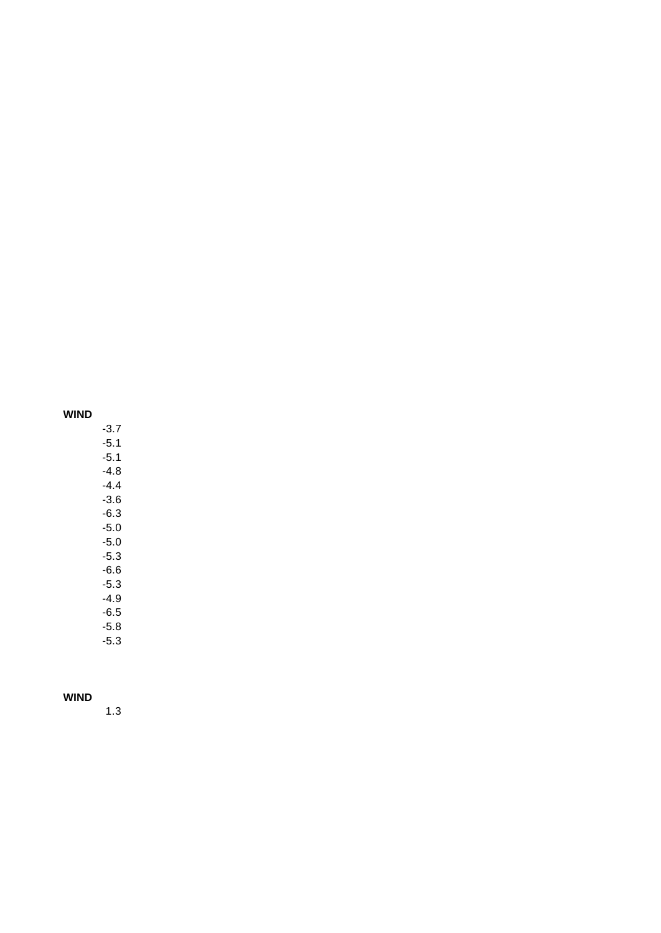## **WIND**

-3.7 -5.1  $-5.1$ -4.8 -4.4 -3.6 -6.3 -5.0 -5.0 -5.3 -6.6 -5.3 -4.9 -6.5 -5.8

-5.3

## **WIND**

1.3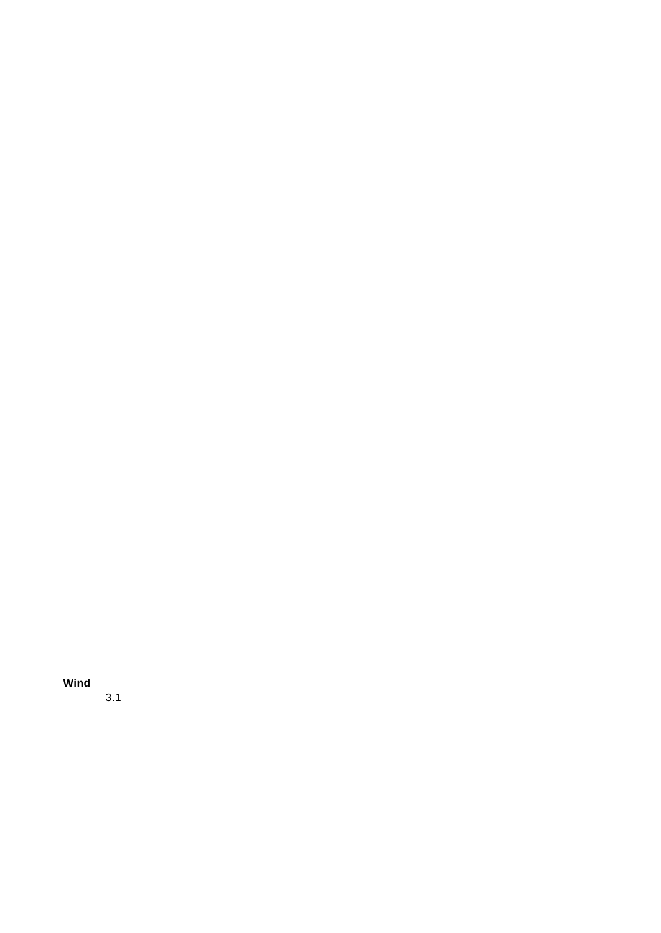**Wind**

3.1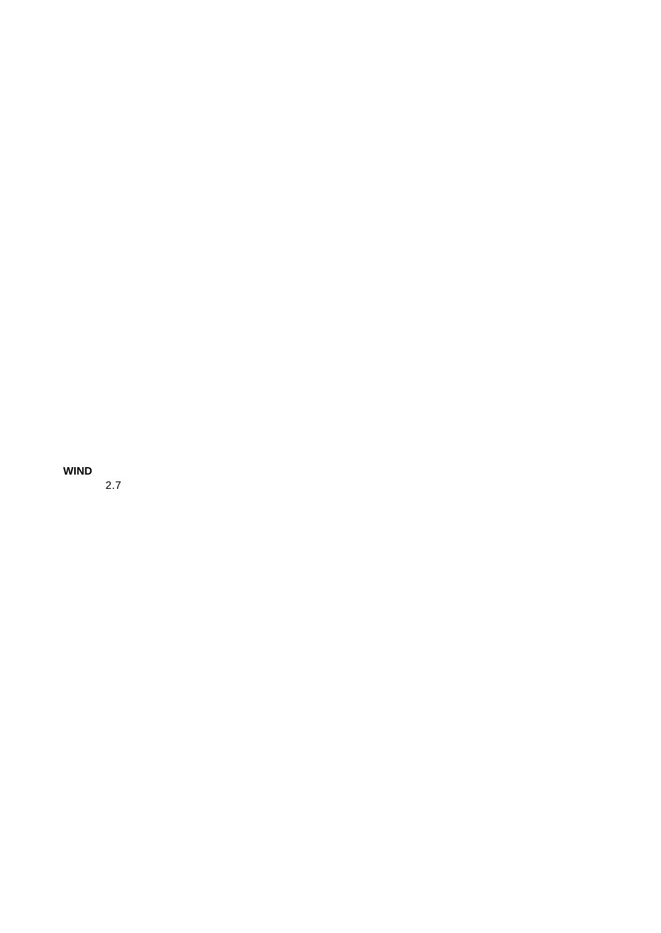**WIND**

2.7